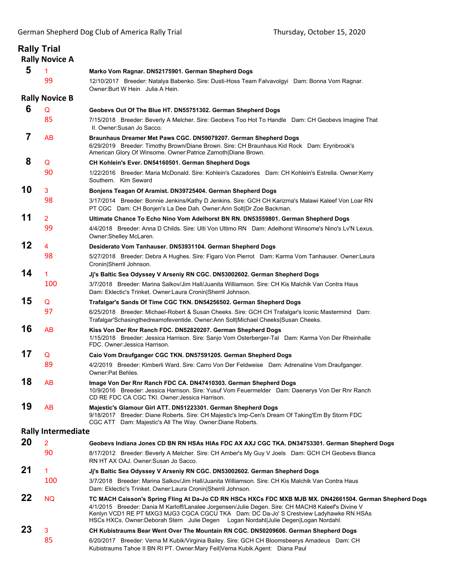|    | <b>Rally Trial</b><br><b>Rally Novice A</b> |                                                                                                                                                                                                                                                                                                                                                                                                 |
|----|---------------------------------------------|-------------------------------------------------------------------------------------------------------------------------------------------------------------------------------------------------------------------------------------------------------------------------------------------------------------------------------------------------------------------------------------------------|
| 5  | 1                                           | Marko Vom Ragnar. DN52175901. German Shepherd Dogs                                                                                                                                                                                                                                                                                                                                              |
|    | 99                                          | 12/10/2017 Breeder: Natalya Babenko. Sire: Dusti-Hoss Team Falvavolgyi Dam: Bonna Vom Ragnar.<br>Owner: Burt W Hein Julia A Hein.                                                                                                                                                                                                                                                               |
|    | <b>Rally Novice B</b>                       |                                                                                                                                                                                                                                                                                                                                                                                                 |
| 6  | Q                                           | Geobevs Out Of The Blue HT. DN55751302. German Shepherd Dogs                                                                                                                                                                                                                                                                                                                                    |
|    | 85                                          | 7/15/2018 Breeder: Beverly A Melcher. Sire: Geobevs Too Hot To Handle Dam: CH Geobevs Imagine That<br>II. Owner:Susan Jo Sacco.                                                                                                                                                                                                                                                                 |
| 7  | AB                                          | Braunhaus Dreamer Met Paws CGC. DN59079207. German Shepherd Dogs<br>6/29/2019 Breeder: Timothy Brown/Diane Brown. Sire: CH Braunhaus Kid Rock Dam: Erynbrook's<br>American Glory Of Winsome. Owner: Patrice Zarnoth Diane Brown.                                                                                                                                                                |
| 8  | Q                                           | CH Kohlein's Ever. DN54160501. German Shepherd Dogs                                                                                                                                                                                                                                                                                                                                             |
|    | 90                                          | 1/22/2016 Breeder: Maria McDonald. Sire: Kohlein's Cazadores Dam: CH Kohlein's Estrella. Owner: Kerry<br>Southern. Kim Seward                                                                                                                                                                                                                                                                   |
| 10 | 3                                           | Bonjens Teagan Of Aramist. DN39725404. German Shepherd Dogs                                                                                                                                                                                                                                                                                                                                     |
|    | 98                                          | 3/17/2014 Breeder: Bonnie Jenkins/Kathy D Jenkins. Sire: GCH CH Karizma's Malawi Kaleef Von Loar RN<br>PT CGC Dam: CH Bonjen's La Dee Dah. Owner: Ann Solt Dr Zoe Backman.                                                                                                                                                                                                                      |
| 11 | 2                                           | Ultimate Chance To Echo Nino Vom Adelhorst BN RN. DN53559801. German Shepherd Dogs                                                                                                                                                                                                                                                                                                              |
|    | 99                                          | 4/4/2018 Breeder: Anna D Childs. Sire: Ulti Von Ultimo RN Dam: Adelhorst Winsome's Nino's Ly'N Lexus.<br>Owner:Shelley McLaren.                                                                                                                                                                                                                                                                 |
| 12 | 4                                           | Desiderato Vom Tanhauser. DN53931104. German Shepherd Dogs                                                                                                                                                                                                                                                                                                                                      |
|    | 98                                          | 5/27/2018 Breeder: Debra A Hughes. Sire: Figaro Von Pierrot Dam: Karma Vom Tanhauser. Owner: Laura<br>Cronin Sherril Johnson.                                                                                                                                                                                                                                                                   |
| 14 | 1                                           | Ji's Baltic Sea Odyssey V Arseniy RN CGC. DN53002602. German Shepherd Dogs                                                                                                                                                                                                                                                                                                                      |
|    | 100                                         | 3/7/2018 Breeder: Marina Salkov/Jim Hall/Juanita Williamson. Sire: CH Kis Malchik Van Contra Haus<br>Dam: Eklectic's Trinket. Owner:Laura Cronin Sherril Johnson.                                                                                                                                                                                                                               |
| 15 | Q                                           | Trafalgar's Sands Of Time CGC TKN. DN54256502. German Shepherd Dogs                                                                                                                                                                                                                                                                                                                             |
|    | 97                                          | 6/25/2018 Breeder: Michael-Robert & Susan Cheeks. Sire: GCH CH Trafalgar's Iconic Mastermind Dam:<br>Trafalgar'Schasingthedreamofeventide. Owner:Ann Solt Michael Cheeks Susan Cheeks.                                                                                                                                                                                                          |
| 16 | AB                                          | Kiss Von Der Rnr Ranch FDC. DN52820207. German Shepherd Dogs<br>1/15/2018 Breeder: Jessica Harrison. Sire: Sanjo Vom Osterberger-Tal Dam: Karma Von Der Rheinhalle<br>FDC. Owner: Jessica Harrison.                                                                                                                                                                                             |
| 17 | Q                                           | Caio Vom Draufganger CGC TKN. DN57591205. German Shepherd Dogs                                                                                                                                                                                                                                                                                                                                  |
|    | 89                                          | 4/2/2019 Breeder: Kimberli Ward. Sire: Carro Von Der Feldweise Dam: Adrenaline Vom Draufganger.<br>Owner:Pat Behles.                                                                                                                                                                                                                                                                            |
| 18 | <b>AB</b>                                   | Image Von Der Rnr Ranch FDC CA. DN47410303. German Shepherd Dogs<br>10/9/2016 Breeder: Jessica Harrison. Sire: Yusuf Vom Feuermelder Dam: Daenerys Von Der Rnr Ranch<br>CD RE FDC CA CGC TKI. Owner: Jessica Harrison.                                                                                                                                                                          |
| 19 | AB                                          | Majestic's Glamour Girl ATT. DN51223301. German Shepherd Dogs<br>9/18/2017 Breeder: Diane Roberts. Sire: CH Majestic's Imp-Cen's Dream Of Taking'Em By Storm FDC<br>CGC ATT Dam: Majestic's All The Way. Owner: Diane Roberts.                                                                                                                                                                  |
|    | <b>Rally Intermediate</b>                   |                                                                                                                                                                                                                                                                                                                                                                                                 |
| 20 | $\overline{2}$                              | Geobevs Indiana Jones CD BN RN HSAs HIAs FDC AX AXJ CGC TKA. DN34753301. German Shepherd Dogs                                                                                                                                                                                                                                                                                                   |
|    | 90                                          | 8/17/2012 Breeder: Beverly A Melcher. Sire: CH Amber's My Guy V Joels Dam: GCH CH Geobevs Bianca<br>RN HT AX OAJ. Owner: Susan Jo Sacco.                                                                                                                                                                                                                                                        |
| 21 | 1                                           | Jj's Baltic Sea Odyssey V Arseniy RN CGC. DN53002602. German Shepherd Dogs                                                                                                                                                                                                                                                                                                                      |
|    | 100                                         | 3/7/2018 Breeder: Marina Salkov/Jim Hall/Juanita Williamson, Sire: CH Kis Malchik Van Contra Haus<br>Dam: Eklectic's Trinket. Owner: Laura Cronin Sherril Johnson.                                                                                                                                                                                                                              |
| 22 | NQ.                                         | TC MACH Caisson's Spring Fling At Da-Jo CD RN HSCs HXCs FDC MXB MJB MX. DN42661504. German Shepherd Dogs<br>4/1/2015 Breeder: Dania M Karloff/Lanalee Jorgensen/Julie Degen. Sire: CH MACH8 Kaleef's Divine V<br>Kenlyn VCD1 RE PT MXG3 MJG3 CGCA CGCU TKA Dam: DC Da-Jo' S Crestview Ladyhawke RN HSAs<br>HSCs HXCs. Owner: Deborah Stern Julie Degen Logan Nordahl Julie Degen Logan Nordahl. |
| 23 | 3                                           | CH Kubistraums Bear Went Over The Mountain RN CGC. DN50209606. German Shepherd Dogs                                                                                                                                                                                                                                                                                                             |
|    | 85                                          | 6/20/2017 Breeder: Verna M Kubik/Virginia Bailey. Sire: GCH CH Bloomsbeerys Amadeus Dam: CH<br>Kubistraums Tahoe II BN RI PT. Owner: Mary Feil Verna Kubik. Agent: Diana Paul                                                                                                                                                                                                                   |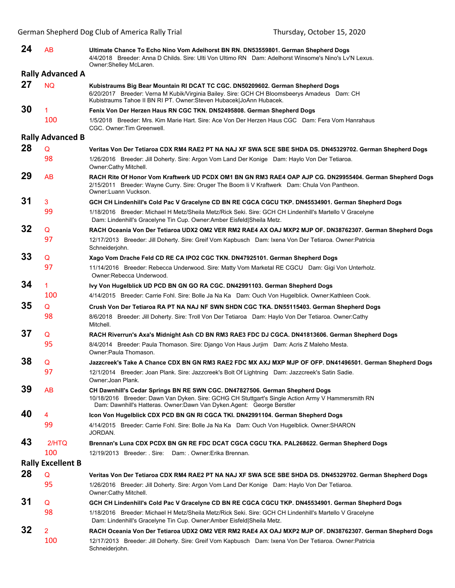| 24                       | AB                      | Ultimate Chance To Echo Nino Vom Adelhorst BN RN. DN53559801. German Shepherd Dogs<br>4/4/2018 Breeder: Anna D Childs. Sire: Ulti Von Ultimo RN Dam: Adelhorst Winsome's Nino's Lv'N Lexus.<br>Owner:Shelley McLaren.                                       |  |  |  |
|--------------------------|-------------------------|-------------------------------------------------------------------------------------------------------------------------------------------------------------------------------------------------------------------------------------------------------------|--|--|--|
| <b>Rally Advanced A</b>  |                         |                                                                                                                                                                                                                                                             |  |  |  |
| 27                       | <b>NQ</b>               | Kubistraums Big Bear Mountain RI DCAT TC CGC. DN50209602. German Shepherd Dogs<br>6/20/2017 Breeder: Verna M Kubik/Virginia Bailey. Sire: GCH CH Bloomsbeerys Amadeus Dam: CH<br>Kubistraums Tahoe II BN RI PT. Owner: Steven Hubacek JoAnn Hubacek.        |  |  |  |
| 30                       | $\mathbf{1}$            | Fenix Von Der Herzen Haus RN CGC TKN. DN52495808. German Shepherd Dogs                                                                                                                                                                                      |  |  |  |
|                          | 100                     | 1/5/2018 Breeder: Mrs. Kim Marie Hart. Sire: Ace Von Der Herzen Haus CGC Dam: Fera Vom Hanrahaus<br>CGC. Owner: Tim Greenwell.                                                                                                                              |  |  |  |
|                          | <b>Rally Advanced B</b> |                                                                                                                                                                                                                                                             |  |  |  |
| 28                       | Q                       | Veritas Von Der Tetiaroa CDX RM4 RAE2 PT NA NAJ XF SWA SCE SBE SHDA DS. DN45329702. German Shepherd Dogs                                                                                                                                                    |  |  |  |
|                          | 98                      | 1/26/2016 Breeder: Jill Doherty. Sire: Argon Vom Land Der Konige Dam: Haylo Von Der Tetiaroa.<br>Owner:Cathy Mitchell.                                                                                                                                      |  |  |  |
| 29                       | AB                      | RACH Rite Of Honor Vom Kraftwerk UD PCDX OM1 BN GN RM3 RAE4 OAP AJP CG. DN29955404. German Shepherd Dogs<br>2/15/2011 Breeder: Wayne Curry. Sire: Oruger The Boom li V Kraftwerk Dam: Chula Von Pantheon.<br>Owner:Luann Vuckson.                           |  |  |  |
| 31                       | 3                       | GCH CH Lindenhill's Cold Pac V Gracelyne CD BN RE CGCA CGCU TKP. DN45534901. German Shepherd Dogs                                                                                                                                                           |  |  |  |
|                          | 99                      | 1/18/2016 Breeder: Michael H Metz/Sheila Metz/Rick Seki. Sire: GCH CH Lindenhill's Martello V Gracelyne<br>Dam: Lindenhill's Gracelyne Tin Cup. Owner:Amber Eisfeld Sheila Metz.                                                                            |  |  |  |
| 32                       | Q                       | RACH Oceania Von Der Tetiaroa UDX2 OM2 VER RM2 RAE4 AX OAJ MXP2 MJP OF. DN38762307. German Shepherd Dogs                                                                                                                                                    |  |  |  |
|                          | 97                      | 12/17/2013 Breeder: Jill Doherty. Sire: Greif Vom Kapbusch Dam: Ixena Von Der Tetiaroa. Owner: Patricia<br>Schneiderjohn.                                                                                                                                   |  |  |  |
| 33                       | Q                       | Xago Vom Drache Feld CD RE CA IPO2 CGC TKN. DN47925101. German Shepherd Dogs                                                                                                                                                                                |  |  |  |
|                          | 97                      | 11/14/2016 Breeder: Rebecca Underwood. Sire: Matty Vom Marketal RE CGCU Dam: Gigi Von Unterholz.<br>Owner:Rebecca Underwood.                                                                                                                                |  |  |  |
| 34                       | $\mathbf{1}$            | Ivy Von Hugelblick UD PCD BN GN GO RA CGC. DN42991103. German Shepherd Dogs                                                                                                                                                                                 |  |  |  |
|                          | 100                     | 4/14/2015 Breeder: Carrie Fohl. Sire: Bolle Ja Na Ka Dam: Ouch Von Hugelblick. Owner: Kathleen Cook.                                                                                                                                                        |  |  |  |
| 35                       | Q                       | Crush Von Der Tetiaroa RA PT NA NAJ NF SWN SHDN CGC TKA. DN55115403. German Shepherd Dogs                                                                                                                                                                   |  |  |  |
|                          | 98                      | 8/6/2018 Breeder: Jill Doherty. Sire: Troll Von Der Tetiaroa Dam: Haylo Von Der Tetiaroa. Owner:Cathy<br>Mitchell.                                                                                                                                          |  |  |  |
| 37                       | Q                       | RACH Riverrun's Axa's Midnight Ash CD BN RM3 RAE3 FDC DJ CGCA. DN41813606. German Shepherd Dogs                                                                                                                                                             |  |  |  |
|                          | 95                      | 8/4/2014 Breeder: Paula Thomason. Sire: Django Von Haus Jurjim Dam: Acris Z Maleho Mesta.<br>Owner: Paula Thomason.                                                                                                                                         |  |  |  |
| 38                       | Q                       | Jazzcreek's Take A Chance CDX BN GN RM3 RAE2 FDC MX AXJ MXP MJP OF OFP. DN41496501. German Shepherd Dogs                                                                                                                                                    |  |  |  |
|                          | 97                      | 12/1/2014 Breeder: Joan Plank. Sire: Jazzcreek's Bolt Of Lightning Dam: Jazzcreek's Satin Sadie.<br>Owner: Joan Plank.                                                                                                                                      |  |  |  |
| 39                       | AB                      | CH Dawnhill's Cedar Springs BN RE SWN CGC. DN47827506. German Shepherd Dogs<br>10/18/2016 Breeder: Dawn Van Dyken. Sire: GCHG CH Stuttgart's Single Action Army V Hammersmith RN<br>Dam: Dawnhill's Hatteras. Owner: Dawn Van Dyken. Agent: George Berstler |  |  |  |
| 40                       | 4                       | Icon Von Hugelblick CDX PCD BN GN RI CGCA TKI. DN42991104. German Shepherd Dogs                                                                                                                                                                             |  |  |  |
|                          | 99                      | 4/14/2015 Breeder: Carrie Fohl. Sire: Bolle Ja Na Ka Dam: Ouch Von Hugelblick. Owner: SHARON<br>JORDAN.                                                                                                                                                     |  |  |  |
| 43                       | 2/HTO                   | Brennan's Luna CDX PCDX BN GN RE FDC DCAT CGCA CGCU TKA. PAL268622. German Shepherd Dogs                                                                                                                                                                    |  |  |  |
|                          | 100                     | 12/19/2013 Breeder: . Sire: Dam: . Owner: Erika Brennan.                                                                                                                                                                                                    |  |  |  |
| <b>Rally Excellent B</b> |                         |                                                                                                                                                                                                                                                             |  |  |  |
| 28                       | Q                       | Veritas Von Der Tetiaroa CDX RM4 RAE2 PT NA NAJ XF SWA SCE SBE SHDA DS. DN45329702. German Shepherd Dogs                                                                                                                                                    |  |  |  |
|                          | 95                      | 1/26/2016 Breeder: Jill Doherty. Sire: Argon Vom Land Der Konige Dam: Haylo Von Der Tetiaroa.<br>Owner:Cathy Mitchell.                                                                                                                                      |  |  |  |
| 31                       | Q                       | GCH CH Lindenhill's Cold Pac V Gracelyne CD BN RE CGCA CGCU TKP. DN45534901. German Shepherd Dogs                                                                                                                                                           |  |  |  |
|                          | 98                      | 1/18/2016 Breeder: Michael H Metz/Sheila Metz/Rick Seki. Sire: GCH CH Lindenhill's Martello V Gracelyne<br>Dam: Lindenhill's Gracelyne Tin Cup. Owner: Amber Eisfeld Sheila Metz.                                                                           |  |  |  |
| 32                       | $\mathbf{2}$            | RACH Oceania Von Der Tetiaroa UDX2 OM2 VER RM2 RAE4 AX OAJ MXP2 MJP OF. DN38762307. German Shepherd Dogs                                                                                                                                                    |  |  |  |
|                          | 100                     | 12/17/2013 Breeder: Jill Doherty. Sire: Greif Vom Kapbusch Dam: Ixena Von Der Tetiaroa. Owner: Patricia<br>Schneiderjohn.                                                                                                                                   |  |  |  |